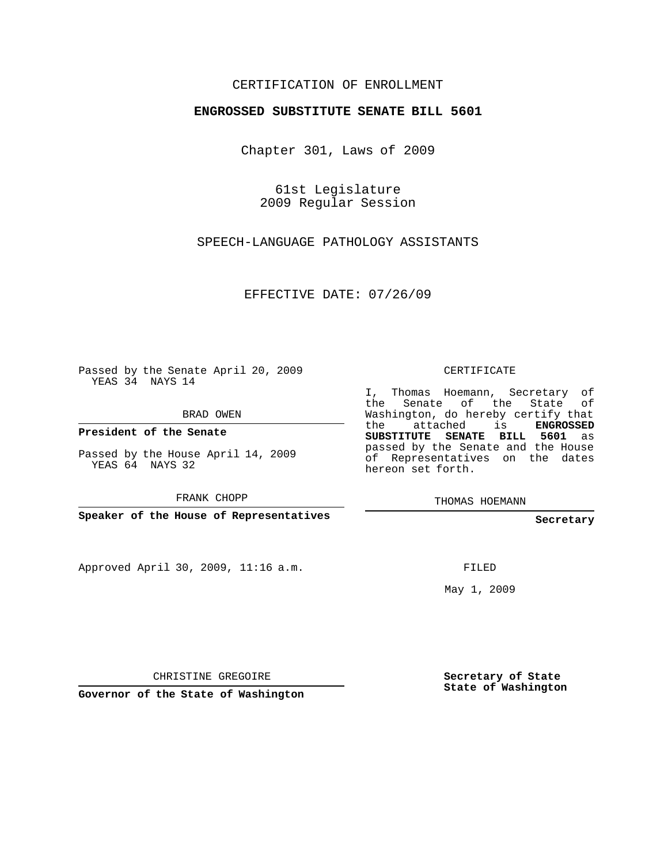## CERTIFICATION OF ENROLLMENT

## **ENGROSSED SUBSTITUTE SENATE BILL 5601**

Chapter 301, Laws of 2009

61st Legislature 2009 Regular Session

SPEECH-LANGUAGE PATHOLOGY ASSISTANTS

EFFECTIVE DATE: 07/26/09

Passed by the Senate April 20, 2009 YEAS 34 NAYS 14

BRAD OWEN

**President of the Senate**

Passed by the House April 14, 2009 YEAS 64 NAYS 32

FRANK CHOPP

**Speaker of the House of Representatives**

Approved April 30, 2009, 11:16 a.m.

CERTIFICATE

I, Thomas Hoemann, Secretary of the Senate of the State of Washington, do hereby certify that the attached is **ENGROSSED SUBSTITUTE SENATE BILL 5601** as passed by the Senate and the House of Representatives on the dates hereon set forth.

THOMAS HOEMANN

**Secretary**

FILED

May 1, 2009

CHRISTINE GREGOIRE

**Governor of the State of Washington**

**Secretary of State State of Washington**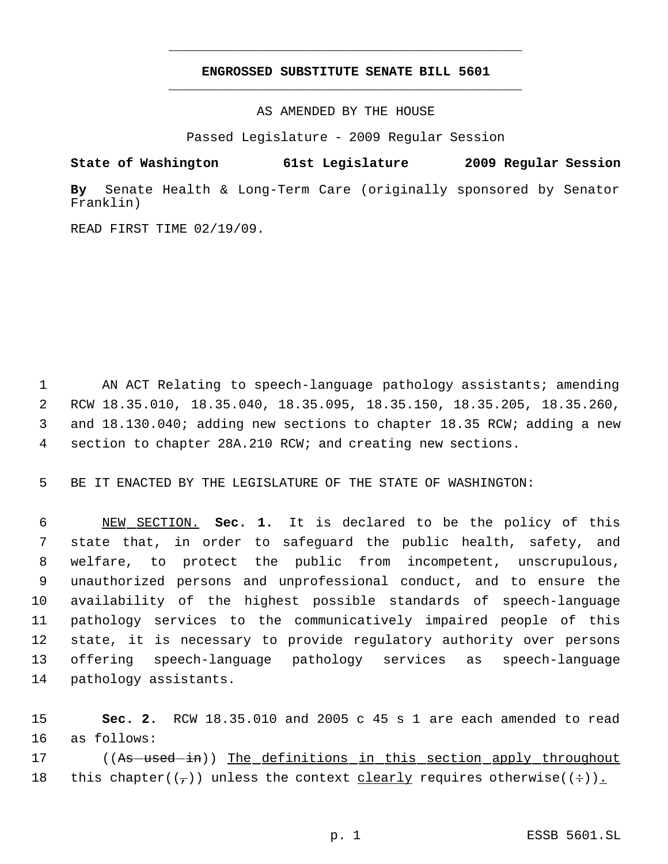## **ENGROSSED SUBSTITUTE SENATE BILL 5601** \_\_\_\_\_\_\_\_\_\_\_\_\_\_\_\_\_\_\_\_\_\_\_\_\_\_\_\_\_\_\_\_\_\_\_\_\_\_\_\_\_\_\_\_\_

\_\_\_\_\_\_\_\_\_\_\_\_\_\_\_\_\_\_\_\_\_\_\_\_\_\_\_\_\_\_\_\_\_\_\_\_\_\_\_\_\_\_\_\_\_

AS AMENDED BY THE HOUSE

Passed Legislature - 2009 Regular Session

**State of Washington 61st Legislature 2009 Regular Session**

**By** Senate Health & Long-Term Care (originally sponsored by Senator Franklin)

READ FIRST TIME 02/19/09.

1 AN ACT Relating to speech-language pathology assistants; amending RCW 18.35.010, 18.35.040, 18.35.095, 18.35.150, 18.35.205, 18.35.260, and 18.130.040; adding new sections to chapter 18.35 RCW; adding a new section to chapter 28A.210 RCW; and creating new sections.

5 BE IT ENACTED BY THE LEGISLATURE OF THE STATE OF WASHINGTON:

 NEW SECTION. **Sec. 1.** It is declared to be the policy of this state that, in order to safeguard the public health, safety, and welfare, to protect the public from incompetent, unscrupulous, unauthorized persons and unprofessional conduct, and to ensure the availability of the highest possible standards of speech-language pathology services to the communicatively impaired people of this state, it is necessary to provide regulatory authority over persons offering speech-language pathology services as speech-language pathology assistants.

15 **Sec. 2.** RCW 18.35.010 and 2005 c 45 s 1 are each amended to read 16 as follows:

17 ((As used in)) The definitions in this section apply throughout 18 this chapter( $(\tau)$ ) unless the context clearly requires otherwise( $(+)$ ).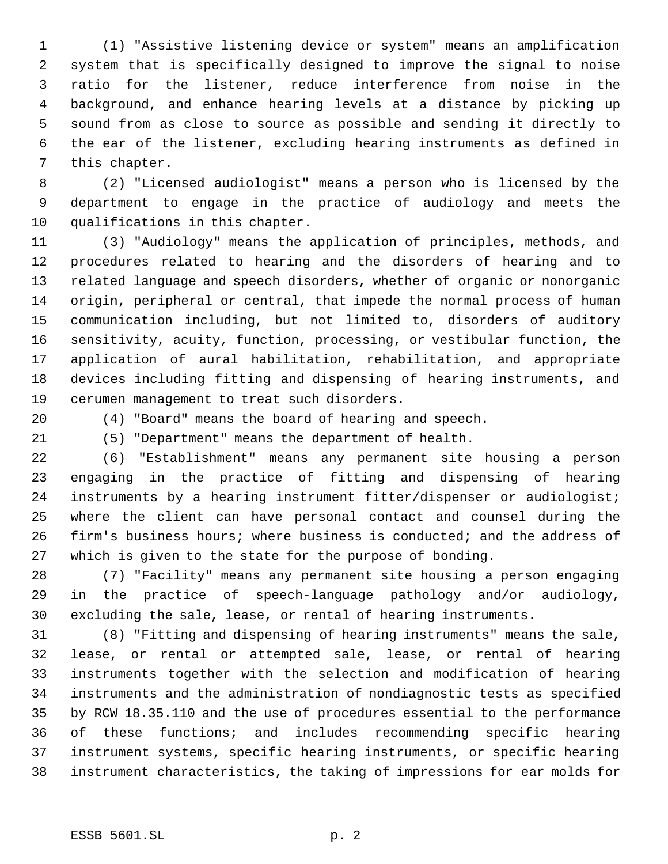(1) "Assistive listening device or system" means an amplification system that is specifically designed to improve the signal to noise ratio for the listener, reduce interference from noise in the background, and enhance hearing levels at a distance by picking up sound from as close to source as possible and sending it directly to the ear of the listener, excluding hearing instruments as defined in this chapter.

 (2) "Licensed audiologist" means a person who is licensed by the department to engage in the practice of audiology and meets the qualifications in this chapter.

 (3) "Audiology" means the application of principles, methods, and procedures related to hearing and the disorders of hearing and to related language and speech disorders, whether of organic or nonorganic origin, peripheral or central, that impede the normal process of human communication including, but not limited to, disorders of auditory sensitivity, acuity, function, processing, or vestibular function, the application of aural habilitation, rehabilitation, and appropriate devices including fitting and dispensing of hearing instruments, and cerumen management to treat such disorders.

(4) "Board" means the board of hearing and speech.

(5) "Department" means the department of health.

 (6) "Establishment" means any permanent site housing a person engaging in the practice of fitting and dispensing of hearing instruments by a hearing instrument fitter/dispenser or audiologist; where the client can have personal contact and counsel during the firm's business hours; where business is conducted; and the address of which is given to the state for the purpose of bonding.

 (7) "Facility" means any permanent site housing a person engaging in the practice of speech-language pathology and/or audiology, excluding the sale, lease, or rental of hearing instruments.

 (8) "Fitting and dispensing of hearing instruments" means the sale, lease, or rental or attempted sale, lease, or rental of hearing instruments together with the selection and modification of hearing instruments and the administration of nondiagnostic tests as specified by RCW 18.35.110 and the use of procedures essential to the performance of these functions; and includes recommending specific hearing instrument systems, specific hearing instruments, or specific hearing instrument characteristics, the taking of impressions for ear molds for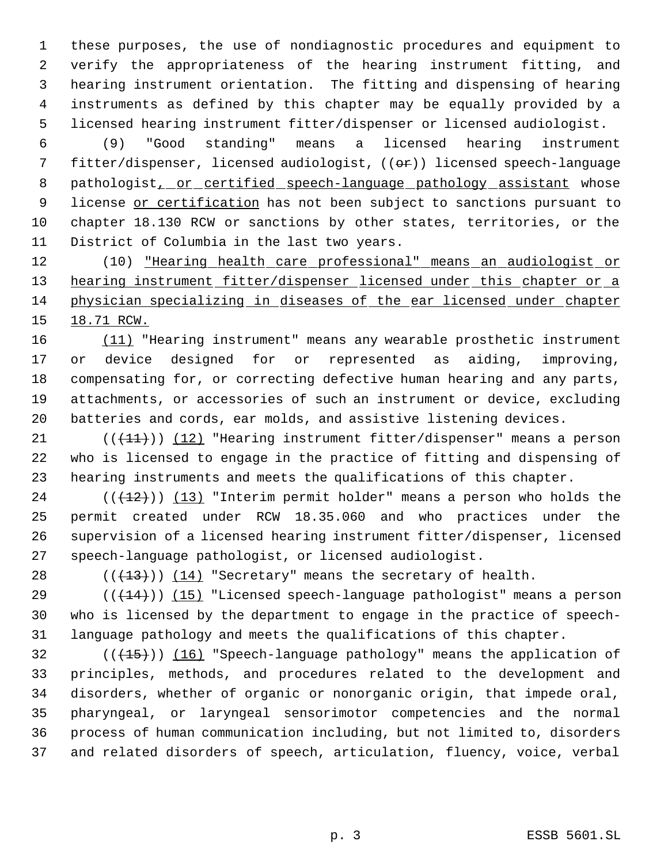these purposes, the use of nondiagnostic procedures and equipment to verify the appropriateness of the hearing instrument fitting, and hearing instrument orientation. The fitting and dispensing of hearing instruments as defined by this chapter may be equally provided by a licensed hearing instrument fitter/dispenser or licensed audiologist.

 (9) "Good standing" means a licensed hearing instrument fitter/dispenser, licensed audiologist, ((or)) licensed speech-language 8 pathologist, or certified speech-language pathology assistant whose 9 license or certification has not been subject to sanctions pursuant to chapter 18.130 RCW or sanctions by other states, territories, or the District of Columbia in the last two years.

 (10) "Hearing health care professional" means an audiologist or 13 hearing instrument fitter/dispenser licensed under this chapter or a physician specializing in diseases of the ear licensed under chapter 15 18.71 RCW.

 (11) "Hearing instrument" means any wearable prosthetic instrument or device designed for or represented as aiding, improving, compensating for, or correcting defective human hearing and any parts, attachments, or accessories of such an instrument or device, excluding batteries and cords, ear molds, and assistive listening devices.

 $((+1)^2)$  (12) "Hearing instrument fitter/dispenser" means a person who is licensed to engage in the practice of fitting and dispensing of hearing instruments and meets the qualifications of this chapter.

 (( $(12)$ )) (13) "Interim permit holder" means a person who holds the permit created under RCW 18.35.060 and who practices under the supervision of a licensed hearing instrument fitter/dispenser, licensed speech-language pathologist, or licensed audiologist.

28  $((+13))$   $(14)$  "Secretary" means the secretary of health.

 $((+14))$  (15) "Licensed speech-language pathologist" means a person who is licensed by the department to engage in the practice of speech-language pathology and meets the qualifications of this chapter.

32 (( $(15)$ )) (16) "Speech-language pathology" means the application of principles, methods, and procedures related to the development and disorders, whether of organic or nonorganic origin, that impede oral, pharyngeal, or laryngeal sensorimotor competencies and the normal process of human communication including, but not limited to, disorders and related disorders of speech, articulation, fluency, voice, verbal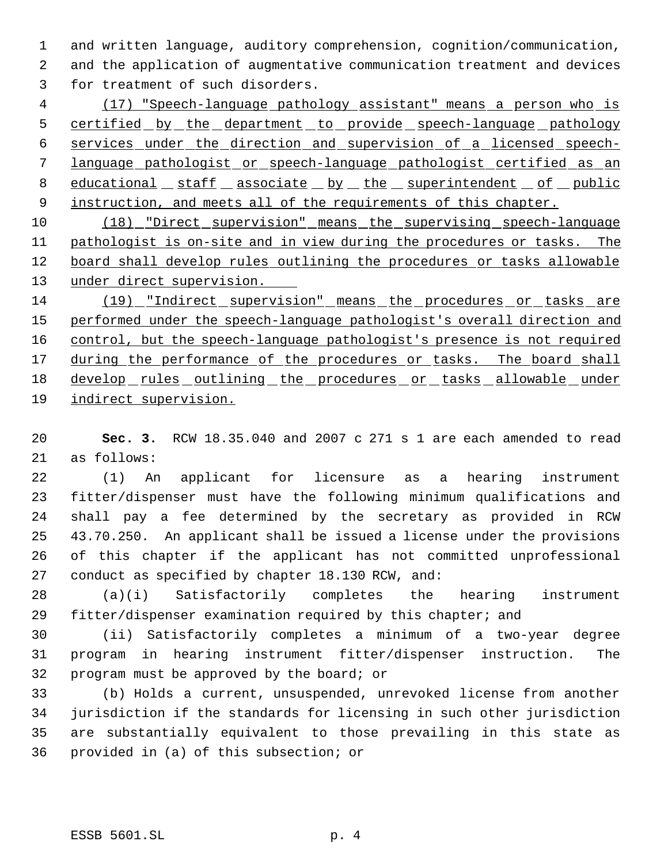and written language, auditory comprehension, cognition/communication,

 and the application of augmentative communication treatment and devices for treatment of such disorders.

 (17) "Speech-language pathology assistant" means a person who is 5 certified by the department to provide speech-language pathology services under the direction and supervision of a licensed speech- language pathologist or speech-language pathologist certified as an 8 educational staff associate by the superintendent of public 9 instruction, and meets all of the requirements of this chapter.

10 (18) "Direct supervision" means the supervising speech-language pathologist is on-site and in view during the procedures or tasks. The board shall develop rules outlining the procedures or tasks allowable under direct supervision.

14 (19) "Indirect supervision" means the procedures or tasks are performed under the speech-language pathologist's overall direction and 16 control, but the speech-language pathologist's presence is not required 17 during the performance of the procedures or tasks. The board shall 18 develop rules outlining the procedures or tasks allowable under indirect supervision.

 **Sec. 3.** RCW 18.35.040 and 2007 c 271 s 1 are each amended to read as follows:

 (1) An applicant for licensure as a hearing instrument fitter/dispenser must have the following minimum qualifications and shall pay a fee determined by the secretary as provided in RCW 43.70.250. An applicant shall be issued a license under the provisions of this chapter if the applicant has not committed unprofessional conduct as specified by chapter 18.130 RCW, and:

 (a)(i) Satisfactorily completes the hearing instrument fitter/dispenser examination required by this chapter; and

 (ii) Satisfactorily completes a minimum of a two-year degree program in hearing instrument fitter/dispenser instruction. The program must be approved by the board; or

 (b) Holds a current, unsuspended, unrevoked license from another jurisdiction if the standards for licensing in such other jurisdiction are substantially equivalent to those prevailing in this state as provided in (a) of this subsection; or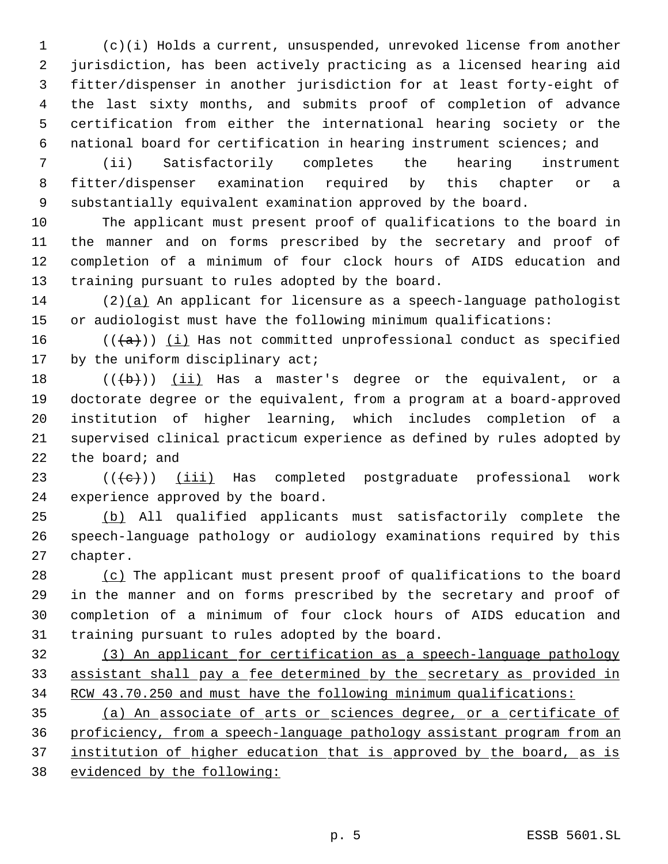(c)(i) Holds a current, unsuspended, unrevoked license from another jurisdiction, has been actively practicing as a licensed hearing aid fitter/dispenser in another jurisdiction for at least forty-eight of the last sixty months, and submits proof of completion of advance certification from either the international hearing society or the national board for certification in hearing instrument sciences; and

 (ii) Satisfactorily completes the hearing instrument fitter/dispenser examination required by this chapter or a substantially equivalent examination approved by the board.

 The applicant must present proof of qualifications to the board in the manner and on forms prescribed by the secretary and proof of completion of a minimum of four clock hours of AIDS education and training pursuant to rules adopted by the board.

 (2)(a) An applicant for licensure as a speech-language pathologist or audiologist must have the following minimum qualifications:

16 ( $(\overline{\{a\}})$  (i) Has not committed unprofessional conduct as specified 17 by the uniform disciplinary act;

 $((+b))$   $(ii)$  Has a master's degree or the equivalent, or a doctorate degree or the equivalent, from a program at a board-approved institution of higher learning, which includes completion of a supervised clinical practicum experience as defined by rules adopted by 22 the board; and

23  $((\{e\})$   $(iii)$  Has completed postgraduate professional work experience approved by the board.

 (b) All qualified applicants must satisfactorily complete the speech-language pathology or audiology examinations required by this chapter.

28 (c) The applicant must present proof of qualifications to the board in the manner and on forms prescribed by the secretary and proof of completion of a minimum of four clock hours of AIDS education and training pursuant to rules adopted by the board.

 (3) An applicant for certification as a speech-language pathology assistant shall pay a fee determined by the secretary as provided in RCW 43.70.250 and must have the following minimum qualifications:

 (a) An associate of arts or sciences degree, or a certificate of proficiency, from a speech-language pathology assistant program from an 37 institution of higher education that is approved by the board, as is evidenced by the following: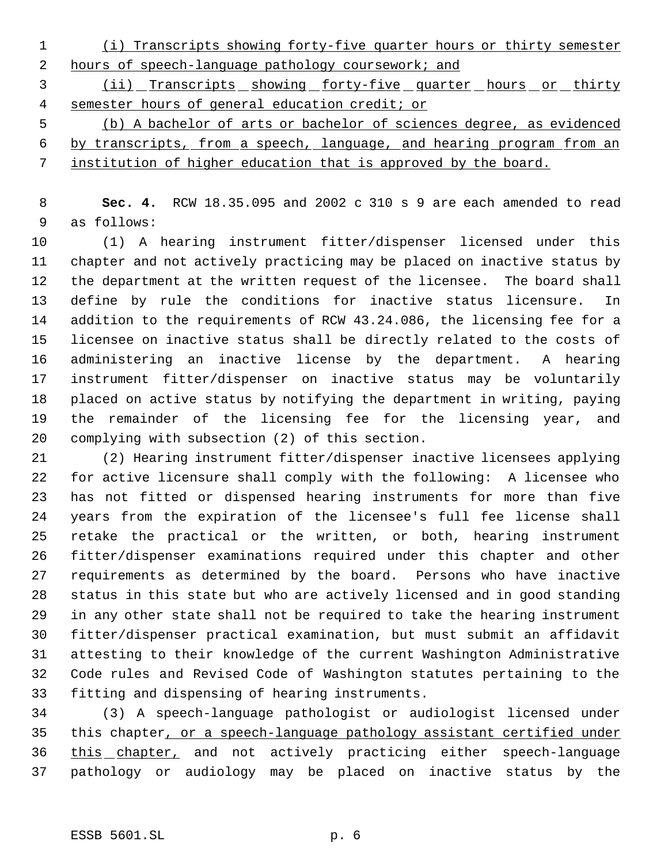(i) Transcripts showing forty-five quarter hours or thirty semester hours of speech-language pathology coursework; and

3 (ii) Transcripts showing forty-five quarter hours or thirty semester hours of general education credit; or

 (b) A bachelor of arts or bachelor of sciences degree, as evidenced by transcripts, from a speech, language, and hearing program from an institution of higher education that is approved by the board.

 **Sec. 4.** RCW 18.35.095 and 2002 c 310 s 9 are each amended to read as follows:

 (1) A hearing instrument fitter/dispenser licensed under this chapter and not actively practicing may be placed on inactive status by the department at the written request of the licensee. The board shall define by rule the conditions for inactive status licensure. In addition to the requirements of RCW 43.24.086, the licensing fee for a licensee on inactive status shall be directly related to the costs of administering an inactive license by the department. A hearing instrument fitter/dispenser on inactive status may be voluntarily placed on active status by notifying the department in writing, paying the remainder of the licensing fee for the licensing year, and complying with subsection (2) of this section.

 (2) Hearing instrument fitter/dispenser inactive licensees applying for active licensure shall comply with the following: A licensee who has not fitted or dispensed hearing instruments for more than five years from the expiration of the licensee's full fee license shall retake the practical or the written, or both, hearing instrument fitter/dispenser examinations required under this chapter and other requirements as determined by the board. Persons who have inactive status in this state but who are actively licensed and in good standing in any other state shall not be required to take the hearing instrument fitter/dispenser practical examination, but must submit an affidavit attesting to their knowledge of the current Washington Administrative Code rules and Revised Code of Washington statutes pertaining to the fitting and dispensing of hearing instruments.

 (3) A speech-language pathologist or audiologist licensed under this chapter, or a speech-language pathology assistant certified under 36 this chapter, and not actively practicing either speech-language pathology or audiology may be placed on inactive status by the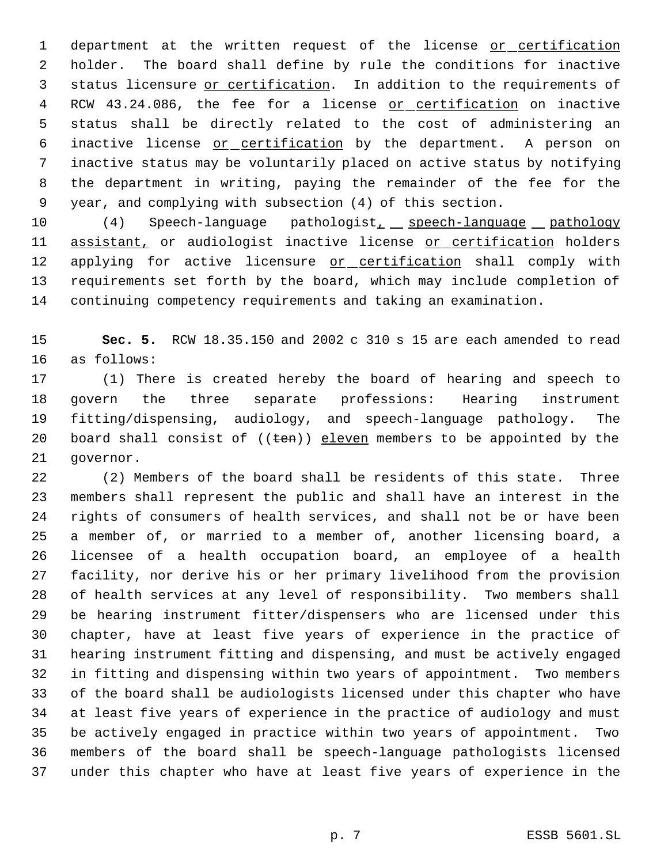1 department at the written request of the license or certification holder. The board shall define by rule the conditions for inactive status licensure or certification. In addition to the requirements of 4 RCW 43.24.086, the fee for a license or certification on inactive status shall be directly related to the cost of administering an inactive license or certification by the department. A person on inactive status may be voluntarily placed on active status by notifying the department in writing, paying the remainder of the fee for the year, and complying with subsection (4) of this section.

10 (4) Speech-language pathologist<sub>1</sub> speech-language pathology 11 assistant, or audiologist inactive license or certification holders 12 applying for active licensure or certification shall comply with requirements set forth by the board, which may include completion of continuing competency requirements and taking an examination.

 **Sec. 5.** RCW 18.35.150 and 2002 c 310 s 15 are each amended to read as follows:

 (1) There is created hereby the board of hearing and speech to govern the three separate professions: Hearing instrument fitting/dispensing, audiology, and speech-language pathology. The 20 board shall consist of  $((ten))$  eleven members to be appointed by the governor.

 (2) Members of the board shall be residents of this state. Three members shall represent the public and shall have an interest in the rights of consumers of health services, and shall not be or have been a member of, or married to a member of, another licensing board, a licensee of a health occupation board, an employee of a health facility, nor derive his or her primary livelihood from the provision of health services at any level of responsibility. Two members shall be hearing instrument fitter/dispensers who are licensed under this chapter, have at least five years of experience in the practice of hearing instrument fitting and dispensing, and must be actively engaged in fitting and dispensing within two years of appointment. Two members of the board shall be audiologists licensed under this chapter who have at least five years of experience in the practice of audiology and must be actively engaged in practice within two years of appointment. Two members of the board shall be speech-language pathologists licensed under this chapter who have at least five years of experience in the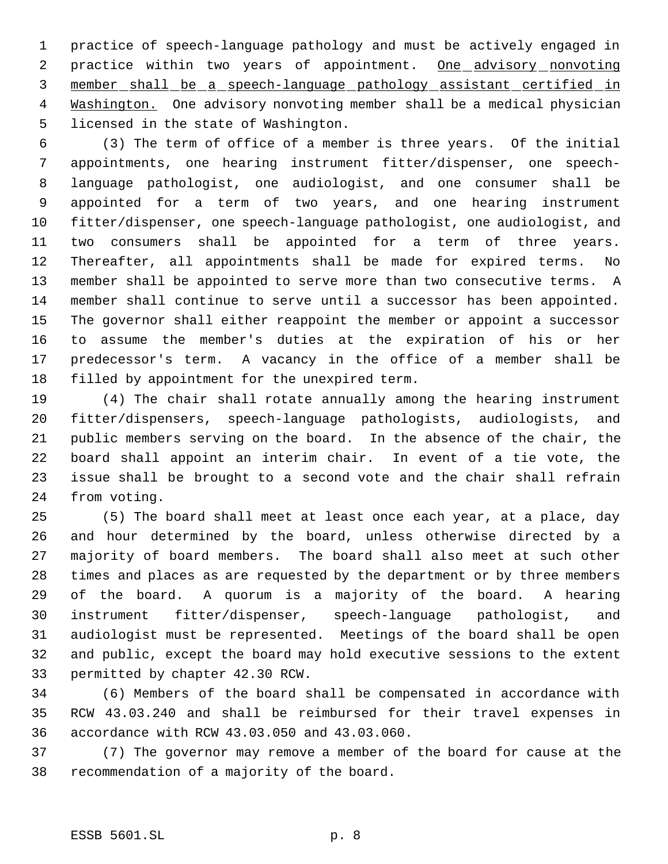practice of speech-language pathology and must be actively engaged in 2 practice within two years of appointment. One advisory nonvoting member shall be a speech-language pathology assistant certified in 4 Mashington. One advisory nonvoting member shall be a medical physician licensed in the state of Washington.

 (3) The term of office of a member is three years. Of the initial appointments, one hearing instrument fitter/dispenser, one speech- language pathologist, one audiologist, and one consumer shall be appointed for a term of two years, and one hearing instrument fitter/dispenser, one speech-language pathologist, one audiologist, and two consumers shall be appointed for a term of three years. Thereafter, all appointments shall be made for expired terms. No member shall be appointed to serve more than two consecutive terms. A member shall continue to serve until a successor has been appointed. The governor shall either reappoint the member or appoint a successor to assume the member's duties at the expiration of his or her predecessor's term. A vacancy in the office of a member shall be filled by appointment for the unexpired term.

 (4) The chair shall rotate annually among the hearing instrument fitter/dispensers, speech-language pathologists, audiologists, and public members serving on the board. In the absence of the chair, the board shall appoint an interim chair. In event of a tie vote, the issue shall be brought to a second vote and the chair shall refrain from voting.

 (5) The board shall meet at least once each year, at a place, day and hour determined by the board, unless otherwise directed by a majority of board members. The board shall also meet at such other times and places as are requested by the department or by three members of the board. A quorum is a majority of the board. A hearing instrument fitter/dispenser, speech-language pathologist, and audiologist must be represented. Meetings of the board shall be open and public, except the board may hold executive sessions to the extent permitted by chapter 42.30 RCW.

 (6) Members of the board shall be compensated in accordance with RCW 43.03.240 and shall be reimbursed for their travel expenses in accordance with RCW 43.03.050 and 43.03.060.

 (7) The governor may remove a member of the board for cause at the recommendation of a majority of the board.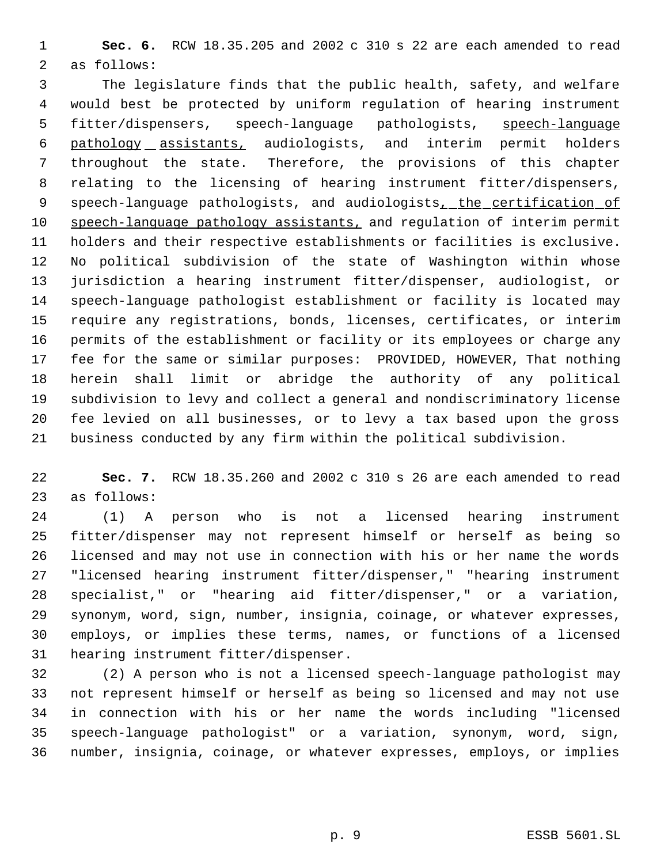**Sec. 6.** RCW 18.35.205 and 2002 c 310 s 22 are each amended to read as follows:

 The legislature finds that the public health, safety, and welfare would best be protected by uniform regulation of hearing instrument 5 fitter/dispensers, speech-language pathologists, speech-language pathology assistants, audiologists, and interim permit holders throughout the state. Therefore, the provisions of this chapter relating to the licensing of hearing instrument fitter/dispensers, 9 speech-language pathologists, and audiologists, the certification of 10 speech-language pathology assistants, and regulation of interim permit holders and their respective establishments or facilities is exclusive. No political subdivision of the state of Washington within whose jurisdiction a hearing instrument fitter/dispenser, audiologist, or speech-language pathologist establishment or facility is located may require any registrations, bonds, licenses, certificates, or interim permits of the establishment or facility or its employees or charge any fee for the same or similar purposes: PROVIDED, HOWEVER, That nothing herein shall limit or abridge the authority of any political subdivision to levy and collect a general and nondiscriminatory license fee levied on all businesses, or to levy a tax based upon the gross business conducted by any firm within the political subdivision.

 **Sec. 7.** RCW 18.35.260 and 2002 c 310 s 26 are each amended to read as follows:

 (1) A person who is not a licensed hearing instrument fitter/dispenser may not represent himself or herself as being so licensed and may not use in connection with his or her name the words "licensed hearing instrument fitter/dispenser," "hearing instrument specialist," or "hearing aid fitter/dispenser," or a variation, synonym, word, sign, number, insignia, coinage, or whatever expresses, employs, or implies these terms, names, or functions of a licensed hearing instrument fitter/dispenser.

 (2) A person who is not a licensed speech-language pathologist may not represent himself or herself as being so licensed and may not use in connection with his or her name the words including "licensed speech-language pathologist" or a variation, synonym, word, sign, number, insignia, coinage, or whatever expresses, employs, or implies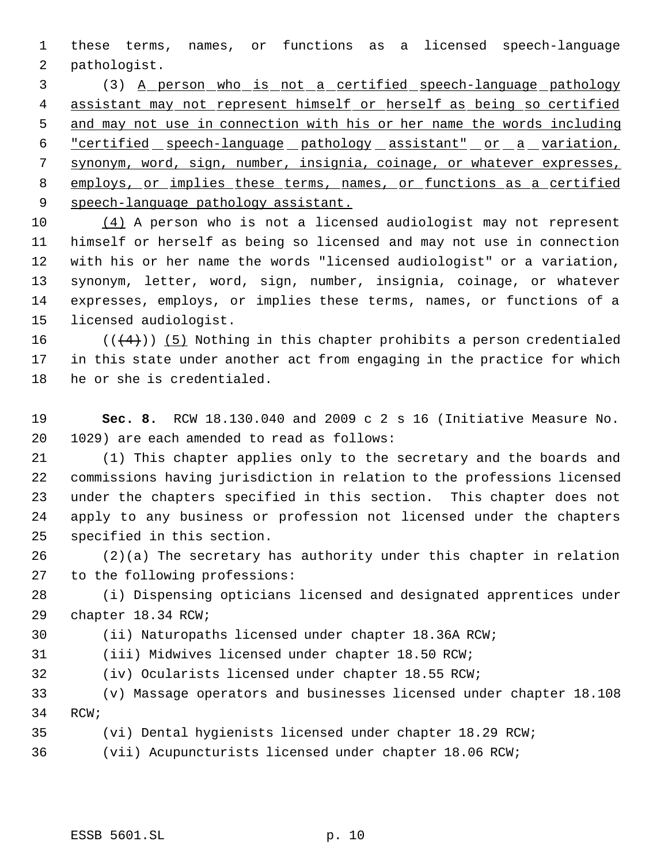these terms, names, or functions as a licensed speech-language pathologist.

 (3) A person who is not a certified speech-language pathology 4 assistant may not represent himself or herself as being so certified and may not use in connection with his or her name the words including 6 "certified speech-language pathology assistant" or a variation, synonym, word, sign, number, insignia, coinage, or whatever expresses, 8 employs, or implies these terms, names, or functions as a certified 9 speech-language pathology assistant.

 (4) A person who is not a licensed audiologist may not represent himself or herself as being so licensed and may not use in connection with his or her name the words "licensed audiologist" or a variation, synonym, letter, word, sign, number, insignia, coinage, or whatever expresses, employs, or implies these terms, names, or functions of a licensed audiologist.

16 ( $(\langle 4 \rangle)$ ) (5) Nothing in this chapter prohibits a person credentialed in this state under another act from engaging in the practice for which he or she is credentialed.

 **Sec. 8.** RCW 18.130.040 and 2009 c 2 s 16 (Initiative Measure No. 1029) are each amended to read as follows:

 (1) This chapter applies only to the secretary and the boards and commissions having jurisdiction in relation to the professions licensed under the chapters specified in this section. This chapter does not apply to any business or profession not licensed under the chapters specified in this section.

 (2)(a) The secretary has authority under this chapter in relation to the following professions:

 (i) Dispensing opticians licensed and designated apprentices under chapter 18.34 RCW;

(ii) Naturopaths licensed under chapter 18.36A RCW;

(iii) Midwives licensed under chapter 18.50 RCW;

(iv) Ocularists licensed under chapter 18.55 RCW;

 (v) Massage operators and businesses licensed under chapter 18.108 RCW;

(vi) Dental hygienists licensed under chapter 18.29 RCW;

(vii) Acupuncturists licensed under chapter 18.06 RCW;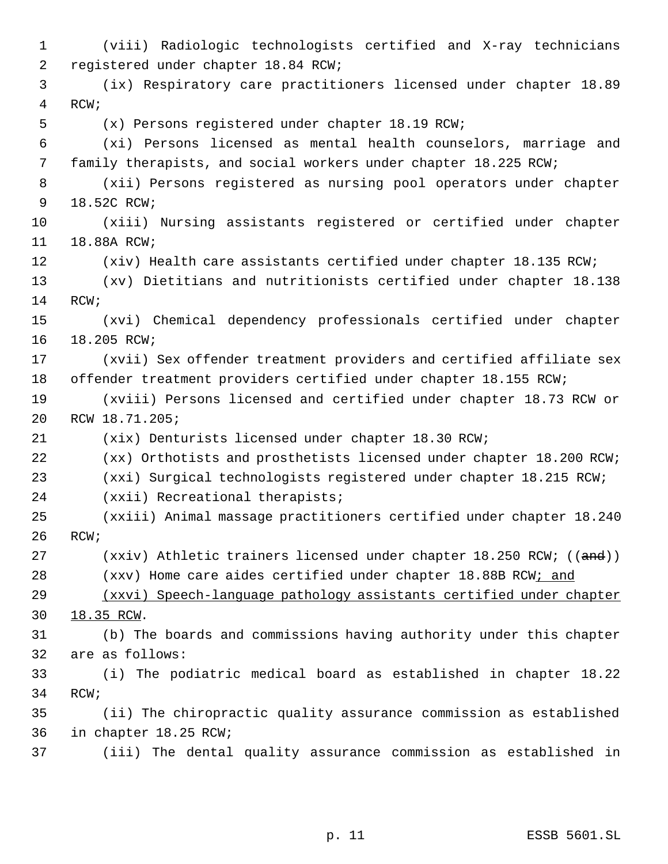(viii) Radiologic technologists certified and X-ray technicians registered under chapter 18.84 RCW; (ix) Respiratory care practitioners licensed under chapter 18.89 RCW; (x) Persons registered under chapter 18.19 RCW; (xi) Persons licensed as mental health counselors, marriage and family therapists, and social workers under chapter 18.225 RCW; (xii) Persons registered as nursing pool operators under chapter 18.52C RCW; (xiii) Nursing assistants registered or certified under chapter 18.88A RCW; 12 (xiv) Health care assistants certified under chapter 18.135 RCW; (xv) Dietitians and nutritionists certified under chapter 18.138 RCW; (xvi) Chemical dependency professionals certified under chapter 18.205 RCW; (xvii) Sex offender treatment providers and certified affiliate sex offender treatment providers certified under chapter 18.155 RCW; (xviii) Persons licensed and certified under chapter 18.73 RCW or RCW 18.71.205; (xix) Denturists licensed under chapter 18.30 RCW; (xx) Orthotists and prosthetists licensed under chapter 18.200 RCW; (xxi) Surgical technologists registered under chapter 18.215 RCW; (xxii) Recreational therapists; (xxiii) Animal massage practitioners certified under chapter 18.240 RCW; 27 (xxiv) Athletic trainers licensed under chapter 18.250 RCW; ((and)) (xxv) Home care aides certified under chapter 18.88B RCW; and (xxvi) Speech-language pathology assistants certified under chapter 18.35 RCW. (b) The boards and commissions having authority under this chapter are as follows: (i) The podiatric medical board as established in chapter 18.22 RCW; (ii) The chiropractic quality assurance commission as established in chapter 18.25 RCW; (iii) The dental quality assurance commission as established in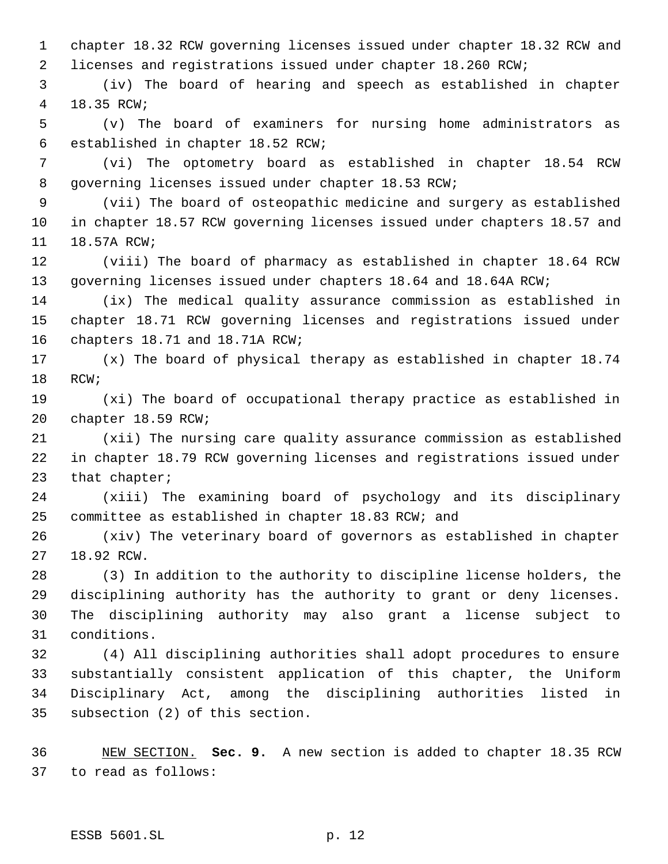chapter 18.32 RCW governing licenses issued under chapter 18.32 RCW and licenses and registrations issued under chapter 18.260 RCW;

 (iv) The board of hearing and speech as established in chapter 18.35 RCW;

 (v) The board of examiners for nursing home administrators as established in chapter 18.52 RCW;

 (vi) The optometry board as established in chapter 18.54 RCW governing licenses issued under chapter 18.53 RCW;

 (vii) The board of osteopathic medicine and surgery as established in chapter 18.57 RCW governing licenses issued under chapters 18.57 and 18.57A RCW;

 (viii) The board of pharmacy as established in chapter 18.64 RCW governing licenses issued under chapters 18.64 and 18.64A RCW;

 (ix) The medical quality assurance commission as established in chapter 18.71 RCW governing licenses and registrations issued under chapters 18.71 and 18.71A RCW;

 (x) The board of physical therapy as established in chapter 18.74 RCW;

 (xi) The board of occupational therapy practice as established in chapter 18.59 RCW;

 (xii) The nursing care quality assurance commission as established in chapter 18.79 RCW governing licenses and registrations issued under 23 that chapter;

 (xiii) The examining board of psychology and its disciplinary committee as established in chapter 18.83 RCW; and

 (xiv) The veterinary board of governors as established in chapter 18.92 RCW.

 (3) In addition to the authority to discipline license holders, the disciplining authority has the authority to grant or deny licenses. The disciplining authority may also grant a license subject to conditions.

 (4) All disciplining authorities shall adopt procedures to ensure substantially consistent application of this chapter, the Uniform Disciplinary Act, among the disciplining authorities listed in subsection (2) of this section.

 NEW SECTION. **Sec. 9.** A new section is added to chapter 18.35 RCW to read as follows: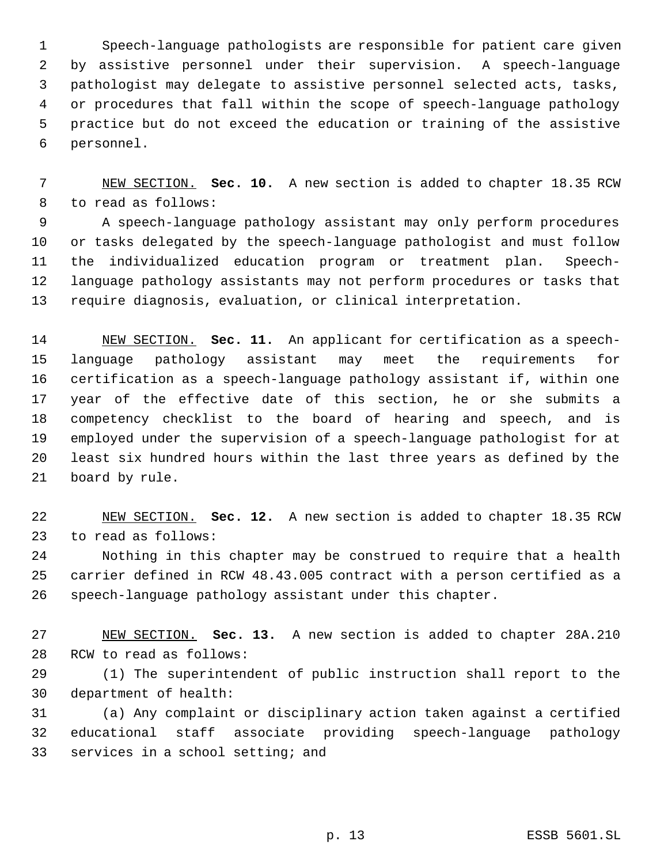Speech-language pathologists are responsible for patient care given by assistive personnel under their supervision. A speech-language pathologist may delegate to assistive personnel selected acts, tasks, or procedures that fall within the scope of speech-language pathology practice but do not exceed the education or training of the assistive personnel.

 NEW SECTION. **Sec. 10.** A new section is added to chapter 18.35 RCW to read as follows:

 A speech-language pathology assistant may only perform procedures or tasks delegated by the speech-language pathologist and must follow the individualized education program or treatment plan. Speech- language pathology assistants may not perform procedures or tasks that require diagnosis, evaluation, or clinical interpretation.

 NEW SECTION. **Sec. 11.** An applicant for certification as a speech- language pathology assistant may meet the requirements for certification as a speech-language pathology assistant if, within one year of the effective date of this section, he or she submits a competency checklist to the board of hearing and speech, and is employed under the supervision of a speech-language pathologist for at least six hundred hours within the last three years as defined by the board by rule.

 NEW SECTION. **Sec. 12.** A new section is added to chapter 18.35 RCW to read as follows:

 Nothing in this chapter may be construed to require that a health carrier defined in RCW 48.43.005 contract with a person certified as a speech-language pathology assistant under this chapter.

 NEW SECTION. **Sec. 13.** A new section is added to chapter 28A.210 RCW to read as follows:

 (1) The superintendent of public instruction shall report to the department of health:

 (a) Any complaint or disciplinary action taken against a certified educational staff associate providing speech-language pathology 33 services in a school setting; and